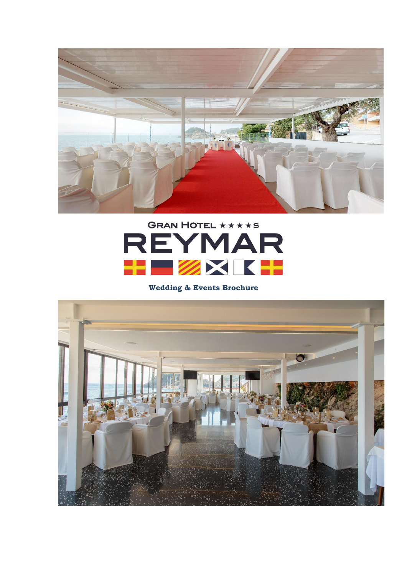

# GRAN HOTEL \*\*\*\*S **REYMAR** H ZXK

# **Wedding & Events Brochure**

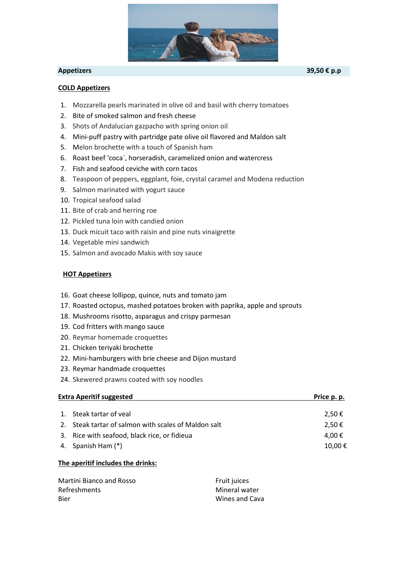

# **Appetizers 39,50 € p.p**

# **COLD Appetizers**

- 1. Mozzarella pearls marinated in olive oil and basil with cherry tomatoes
- 2. Bite of smoked salmon and fresh cheese
- 3. Shots of Andalucian gazpacho with spring onion oil
- 4. Mini-puff pastry with partridge pate olive oil flavored and Maldon salt
- 5. Melon brochette with a touch of Spanish ham
- 6. Roast beef 'coca`, horseradish, caramelized onion and watercress
- 7. Fish and seafood ceviche with corn tacos
- 8. Teaspoon of peppers, eggplant, foie, crystal caramel and Modena reduction
- 9. Salmon marinated with yogurt sauce
- 10. Tropical seafood salad
- 11. Bite of crab and herring roe
- 12. Pickled tuna loin with candied onion
- 13. Duck micuit taco with raisin and pine nuts vinaigrette
- 14. Vegetable mini sandwich
- 15. Salmon and avocado Makis with soy sauce

# **HOT Appetizers**

- 16. Goat cheese lollipop, quince, nuts and tomato jam
- 17. Roasted octopus, mashed potatoes broken with paprika, apple and sprouts
- 18. Mushrooms risotto, asparagus and crispy parmesan
- 19. Cod fritters with mango sauce
- 20. Reymar homemade croquettes
- 21. Chicken teriyaki brochette
- 22. Mini-hamburgers with brie cheese and Dijon mustard
- 23. Reymar handmade croquettes
- 24. Skewered prawns coated with soy noodles

| <b>Extra Aperitif suggested</b> |                                                      | Price p. p. |
|---------------------------------|------------------------------------------------------|-------------|
|                                 | 1. Steak tartar of yeal                              | 2,50 €      |
|                                 | 2. Steak tartar of salmon with scales of Maldon salt | 2,50 €      |
|                                 | 3. Rice with seafood, black rice, or fidieua         | 4.00 €      |
|                                 | 4. Spanish Ham (*)                                   | 10,00€      |

### **The aperitif includes the drinks:**

| Martini Bianco and Rosso | Fruit juices   |
|--------------------------|----------------|
| <b>Refreshments</b>      | Mineral water  |
| <b>Bier</b>              | Wines and Cava |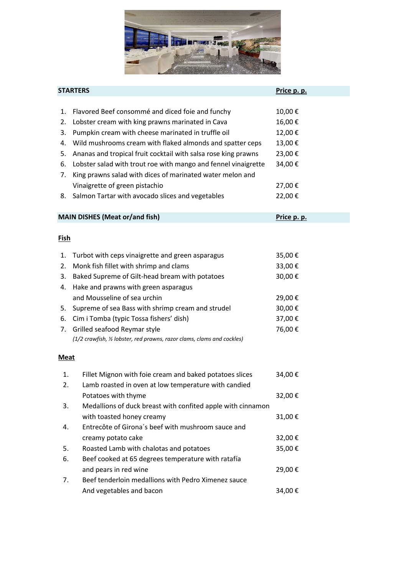

| <b>STARTERS</b> |                                                                         | Price p. p. |  |
|-----------------|-------------------------------------------------------------------------|-------------|--|
|                 |                                                                         |             |  |
| 1.              | Flavored Beef consommé and diced foie and funchy                        | 10,00€      |  |
| 2.              | Lobster cream with king prawns marinated in Cava                        | 16,00€      |  |
| 3.              | Pumpkin cream with cheese marinated in truffle oil                      | 12,00€      |  |
| 4.              | Wild mushrooms cream with flaked almonds and spatter ceps               | 13,00€      |  |
| 5.              | Ananas and tropical fruit cocktail with salsa rose king prawns          | 23,00€      |  |
| 6.              | Lobster salad with trout roe with mango and fennel vinaigrette          | 34,00€      |  |
| 7.              | King prawns salad with dices of marinated water melon and               |             |  |
|                 | Vinaigrette of green pistachio                                          | 27,00€      |  |
| 8.              | Salmon Tartar with avocado slices and vegetables                        | 22,00€      |  |
|                 | <b>MAIN DISHES (Meat or/and fish)</b>                                   | Price p. p. |  |
|                 |                                                                         |             |  |
| <b>Fish</b>     |                                                                         |             |  |
| 1.              | Turbot with ceps vinaigrette and green asparagus                        | 35,00€      |  |
| 2.              | Monk fish fillet with shrimp and clams                                  | 33,00€      |  |
| 3.              | Baked Supreme of Gilt-head bream with potatoes                          | 30,00€      |  |
| 4.              | Hake and prawns with green asparagus                                    |             |  |
|                 | and Mousseline of sea urchin                                            | 29,00€      |  |
| 5.              | Supreme of sea Bass with shrimp cream and strudel                       | 30,00€      |  |
| 6.              | Cim i Tomba (typic Tossa fishers' dish)                                 | 37,00€      |  |
| 7.              | Grilled seafood Reymar style                                            | 76,00€      |  |
|                 | (1/2 crawfish, 1/2 lobster, red prawns, razor clams, clams and cockles) |             |  |
| <b>Meat</b>     |                                                                         |             |  |
| 1.              | Fillet Mignon with foie cream and baked potatoes slices                 | 34,00€      |  |
| 2.              | Lamb roasted in oven at low temperature with candied                    |             |  |
|                 | Potatoes with thyme                                                     | 32,00€      |  |
| 3.              | Medallions of duck breast with confited apple with cinnamon             |             |  |
|                 | with toasted honey creamy                                               | 31,00€      |  |
| 4.              | Entrecôte of Girona's beef with mushroom sauce and                      |             |  |
|                 | creamy potato cake                                                      | 32,00€      |  |
| 5.              | Roasted Lamb with chalotas and potatoes                                 | 35,00€      |  |
| 6.              | Beef cooked at 65 degrees temperature with ratafía                      |             |  |
|                 | and pears in red wine                                                   | 29,00€      |  |
| 7.              | Beef tenderloin medallions with Pedro Ximenez sauce                     |             |  |
|                 | And vegetables and bacon                                                | 34,00€      |  |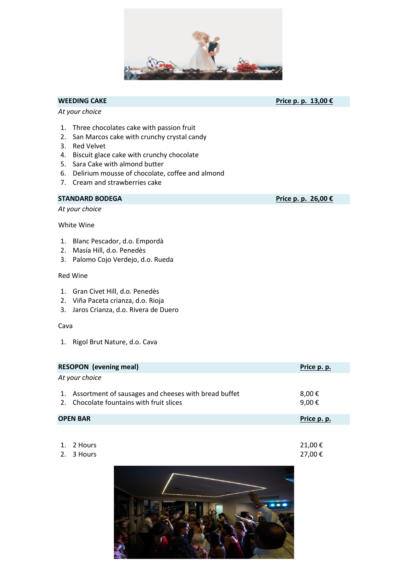

*At your choice*

**WEEDING CAKE Price p. p. 13,00 €**

- 1. Three chocolates cake with passion fruit
- 2. San Marcos cake with crunchy crystal candy
- 3. Red Velvet
- 4. Biscuit glace cake with crunchy chocolate
- 5. Sara Cake with almond butter
- 6. Delirium mousse of chocolate, coffee and almond
- 7. Cream and strawberries cake

# **STANDARD BODEGA Price p. p. 26,00 €**

*At your choice*

White Wine

- 1. Blanc Pescador, d.o. Empordà
- 2. Masía Hill, d.o. Penedès
- 3. Palomo Cojo Verdejo, d.o. Rueda

# Red Wine

- 1. Gran Civet Hill, d.o. Penedès
- 2. Viña Paceta crianza, d.o. Rioja
- 3. Jaros Crianza, d.o. Rivera de Duero

### Cava

1. Rigol Brut Nature, d.o. Cava

|                 | <b>RESOPON</b> (evening meal)                                                                       | Price p. p.     |
|-----------------|-----------------------------------------------------------------------------------------------------|-----------------|
| At your choice  |                                                                                                     |                 |
|                 | 1. Assortment of sausages and cheeses with bread buffet<br>2. Chocolate fountains with fruit slices | 8,00 €<br>9,00€ |
| <b>OPEN BAR</b> |                                                                                                     | Price p. p.     |
|                 |                                                                                                     |                 |

| 1. 2 Hours | 21,00 € |
|------------|---------|
| 2. 3 Hours | 27,00 € |